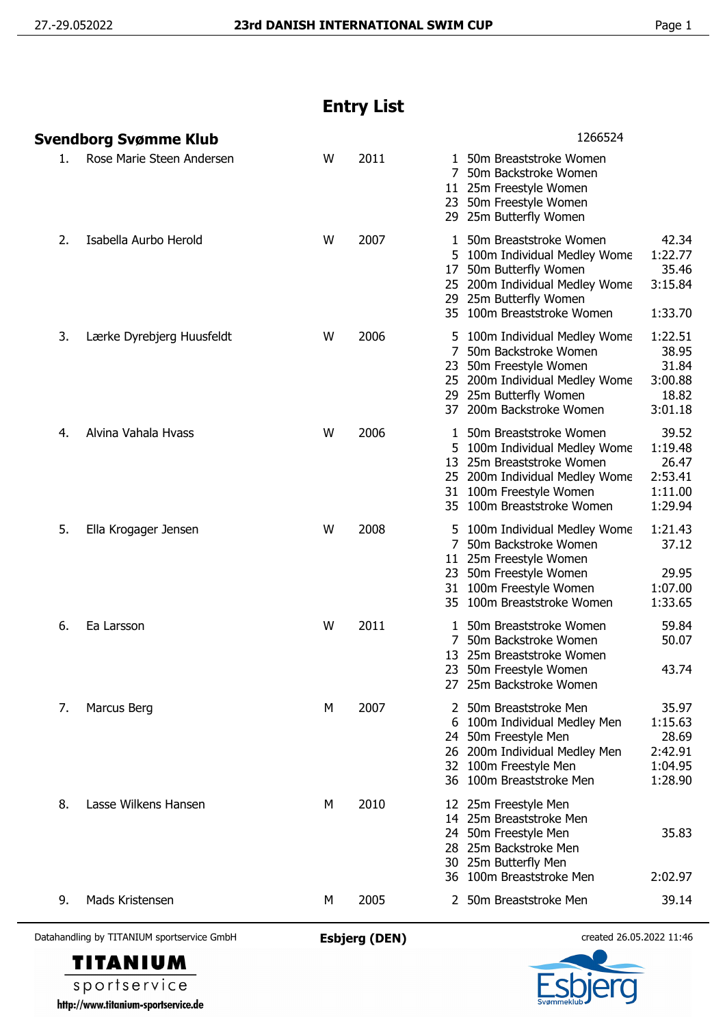## **Entry List**

| 1266524<br>Svendborg Svømme Klub                                                                                                                                                                                                   |                                                            |
|------------------------------------------------------------------------------------------------------------------------------------------------------------------------------------------------------------------------------------|------------------------------------------------------------|
| Rose Marie Steen Andersen<br>2011<br>W<br>1 50m Breaststroke Women<br>1.<br>7<br>50m Backstroke Women<br>11 25m Freestyle Women<br>23 50m Freestyle Women<br>29 25m Butterfly Women                                                |                                                            |
| 2.<br>Isabella Aurbo Herold<br>W<br>2007<br>50m Breaststroke Women<br>1<br>5 100m Individual Medley Wome<br>50m Butterfly Women<br>17<br>200m Individual Medley Wome<br>25<br>29 25m Butterfly Women<br>35 100m Breaststroke Women | 42.34<br>1:22.77<br>35.46<br>3:15.84<br>1:33.70            |
| 2006<br>Lærke Dyrebjerg Huusfeldt<br>W<br>5 100m Individual Medley Wome<br>3.<br>7 50m Backstroke Women<br>23<br>50m Freestyle Women<br>25 200m Individual Medley Wome<br>29 25m Butterfly Women<br>37 200m Backstroke Women       | 1:22.51<br>38.95<br>31.84<br>3:00.88<br>18.82<br>3:01.18   |
| Alvina Vahala Hvass<br>2006<br>W<br>50m Breaststroke Women<br>4.<br>1<br>100m Individual Medley Wome<br>25m Breaststroke Women<br>13<br>25 200m Individual Medley Wome<br>31 100m Freestyle Women<br>35 100m Breaststroke Women    | 39.52<br>1:19.48<br>26.47<br>2:53.41<br>1:11.00<br>1:29.94 |
| 5.<br>2008<br>Ella Krogager Jensen<br>W<br>5 100m Individual Medley Wome<br>50m Backstroke Women<br>7<br>11 25m Freestyle Women<br>50m Freestyle Women<br>23<br>31 100m Freestyle Women<br>35 100m Breaststroke Women              | 1:21.43<br>37.12<br>29.95<br>1:07.00<br>1:33.65            |
| 2011<br>Ea Larsson<br>W<br>50m Breaststroke Women<br>6.<br>1<br>7<br>50m Backstroke Women<br>25m Breaststroke Women<br>13<br>50m Freestyle Women<br>23<br>27 25m Backstroke Women                                                  | 59.84<br>50.07<br>43.74                                    |
| M<br>2007<br>50m Breaststroke Men<br>Marcus Berg<br>7.<br>2<br>6<br>100m Individual Medley Men<br>24 50m Freestyle Men<br>200m Individual Medley Men<br>26<br>32 100m Freestyle Men<br>36 100m Breaststroke Men                    | 35.97<br>1:15.63<br>28.69<br>2:42.91<br>1:04.95<br>1:28.90 |
| 8.<br>Lasse Wilkens Hansen<br>2010<br>М<br>12 25m Freestyle Men                                                                                                                                                                    |                                                            |
| 25m Breaststroke Men<br>14<br>50m Freestyle Men<br>24<br>25m Backstroke Men<br>28<br>30 25m Butterfly Men<br>36 100m Breaststroke Men                                                                                              | 35.83<br>2:02.97                                           |

Datahandling by TITANIUM sportservice GmbH **Esbjerg (DEN)** created 26.05.2022 11:46